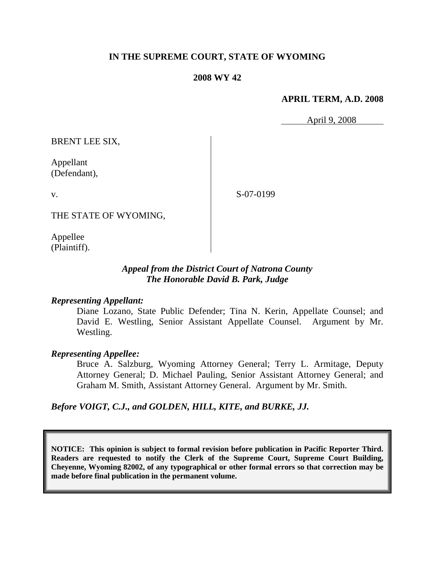## **IN THE SUPREME COURT, STATE OF WYOMING**

### **2008 WY 42**

### **APRIL TERM, A.D. 2008**

April 9, 2008

BRENT LEE SIX,

Appellant (Defendant),

v.

S-07-0199

THE STATE OF WYOMING,

Appellee (Plaintiff).

## *Appeal from the District Court of Natrona County The Honorable David B. Park, Judge*

## *Representing Appellant:*

Diane Lozano, State Public Defender; Tina N. Kerin, Appellate Counsel; and David E. Westling, Senior Assistant Appellate Counsel. Argument by Mr. Westling.

#### *Representing Appellee:*

Bruce A. Salzburg, Wyoming Attorney General; Terry L. Armitage, Deputy Attorney General; D. Michael Pauling, Senior Assistant Attorney General; and Graham M. Smith, Assistant Attorney General. Argument by Mr. Smith.

*Before VOIGT, C.J., and GOLDEN, HILL, KITE, and BURKE, JJ.*

**NOTICE: This opinion is subject to formal revision before publication in Pacific Reporter Third. Readers are requested to notify the Clerk of the Supreme Court, Supreme Court Building, Cheyenne, Wyoming 82002, of any typographical or other formal errors so that correction may be made before final publication in the permanent volume.**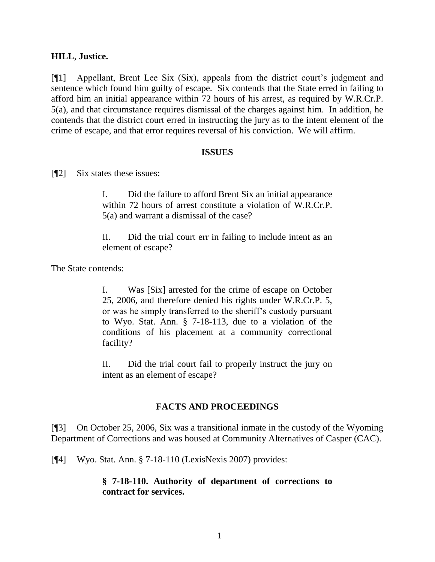## **HILL**, **Justice.**

[¶1] Appellant, Brent Lee Six (Six), appeals from the district court"s judgment and sentence which found him guilty of escape. Six contends that the State erred in failing to afford him an initial appearance within 72 hours of his arrest, as required by W.R.Cr.P. 5(a), and that circumstance requires dismissal of the charges against him. In addition, he contends that the district court erred in instructing the jury as to the intent element of the crime of escape, and that error requires reversal of his conviction. We will affirm.

### **ISSUES**

[¶2] Six states these issues:

I. Did the failure to afford Brent Six an initial appearance within 72 hours of arrest constitute a violation of W.R.Cr.P. 5(a) and warrant a dismissal of the case?

II. Did the trial court err in failing to include intent as an element of escape?

The State contends:

I. Was [Six] arrested for the crime of escape on October 25, 2006, and therefore denied his rights under W.R.Cr.P. 5, or was he simply transferred to the sheriff"s custody pursuant to Wyo. Stat. Ann. § 7-18-113, due to a violation of the conditions of his placement at a community correctional facility?

II. Did the trial court fail to properly instruct the jury on intent as an element of escape?

# **FACTS AND PROCEEDINGS**

[¶3] On October 25, 2006, Six was a transitional inmate in the custody of the Wyoming Department of Corrections and was housed at Community Alternatives of Casper (CAC).

[¶4] Wyo. Stat. Ann. § 7-18-110 (LexisNexis 2007) provides:

## **§ 7-18-110. Authority of department of corrections to contract for services.**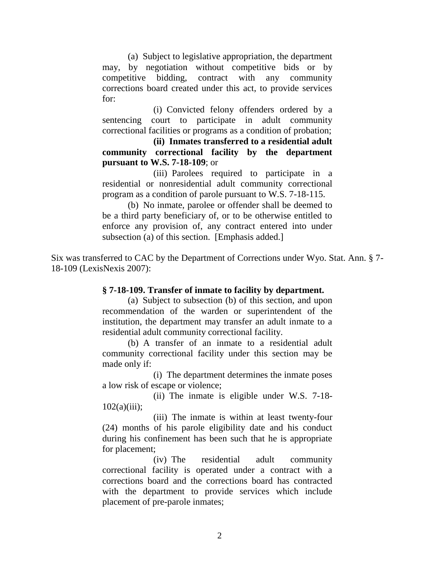(a) Subject to legislative appropriation, the department may, by negotiation without competitive bids or by competitive bidding, contract with any community corrections board created under this act, to provide services for:

(i) Convicted felony offenders ordered by a sentencing court to participate in adult community correctional facilities or programs as a condition of probation;

**(ii) Inmates transferred to a residential adult community correctional facility by the department pursuant to W.S. 7-18-109**; or

(iii) Parolees required to participate in a residential or nonresidential adult community correctional program as a condition of parole pursuant to W.S. 7-18-115.

(b) No inmate, parolee or offender shall be deemed to be a third party beneficiary of, or to be otherwise entitled to enforce any provision of, any contract entered into under subsection (a) of this section. [Emphasis added.]

Six was transferred to CAC by the Department of Corrections under Wyo. Stat. Ann. § 7- 18-109 (LexisNexis 2007):

## **§ 7-18-109. Transfer of inmate to facility by department.**

(a) Subject to subsection (b) of this section, and upon recommendation of the warden or superintendent of the institution, the department may transfer an adult inmate to a residential adult community correctional facility.

(b) A transfer of an inmate to a residential adult community correctional facility under this section may be made only if:

(i) The department determines the inmate poses a low risk of escape or violence;

(ii) The inmate is eligible under W.S. 7-18-  $102(a)(iii);$ 

(iii) The inmate is within at least twenty-four (24) months of his parole eligibility date and his conduct during his confinement has been such that he is appropriate for placement;

(iv) The residential adult community correctional facility is operated under a contract with a corrections board and the corrections board has contracted with the department to provide services which include placement of pre-parole inmates;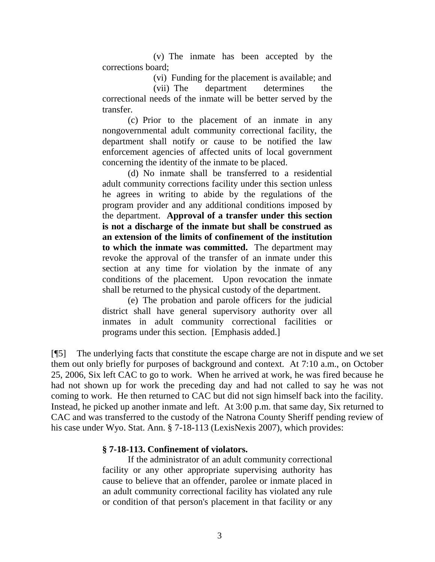(v) The inmate has been accepted by the corrections board;

(vi) Funding for the placement is available; and

(vii) The department determines the correctional needs of the inmate will be better served by the transfer.

(c) Prior to the placement of an inmate in any nongovernmental adult community correctional facility, the department shall notify or cause to be notified the law enforcement agencies of affected units of local government concerning the identity of the inmate to be placed.

(d) No inmate shall be transferred to a residential adult community corrections facility under this section unless he agrees in writing to abide by the regulations of the program provider and any additional conditions imposed by the department. **Approval of a transfer under this section is not a discharge of the inmate but shall be construed as an extension of the limits of confinement of the institution to which the inmate was committed.** The department may revoke the approval of the transfer of an inmate under this section at any time for violation by the inmate of any conditions of the placement. Upon revocation the inmate shall be returned to the physical custody of the department.

(e) The probation and parole officers for the judicial district shall have general supervisory authority over all inmates in adult community correctional facilities or programs under this section. [Emphasis added.]

[¶5] The underlying facts that constitute the escape charge are not in dispute and we set them out only briefly for purposes of background and context. At 7:10 a.m., on October 25, 2006, Six left CAC to go to work. When he arrived at work, he was fired because he had not shown up for work the preceding day and had not called to say he was not coming to work. He then returned to CAC but did not sign himself back into the facility. Instead, he picked up another inmate and left. At 3:00 p.m. that same day, Six returned to CAC and was transferred to the custody of the Natrona County Sheriff pending review of his case under Wyo. Stat. Ann. § 7-18-113 (LexisNexis 2007), which provides:

## **§ 7-18-113. Confinement of violators.**

If the administrator of an adult community correctional facility or any other appropriate supervising authority has cause to believe that an offender, parolee or inmate placed in an adult community correctional facility has violated any rule or condition of that person's placement in that facility or any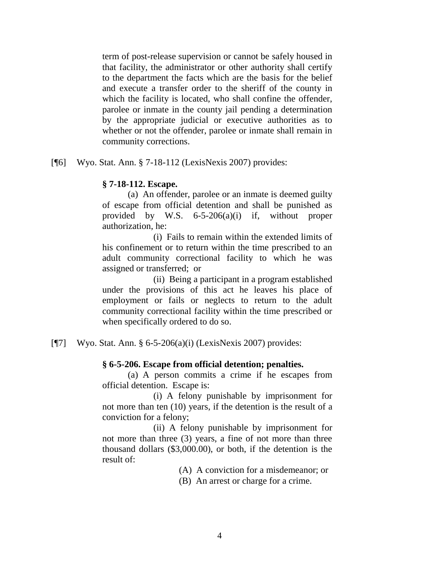term of post-release supervision or cannot be safely housed in that facility, the administrator or other authority shall certify to the department the facts which are the basis for the belief and execute a transfer order to the sheriff of the county in which the facility is located, who shall confine the offender, parolee or inmate in the county jail pending a determination by the appropriate judicial or executive authorities as to whether or not the offender, parolee or inmate shall remain in community corrections.

[¶6] Wyo. Stat. Ann. § 7-18-112 (LexisNexis 2007) provides:

## **§ 7-18-112. Escape.**

(a) An offender, parolee or an inmate is deemed guilty of escape from official detention and shall be punished as provided by W.S. 6-5-206(a)(i) if, without proper authorization, he:

(i) Fails to remain within the extended limits of his confinement or to return within the time prescribed to an adult community correctional facility to which he was assigned or transferred; or

(ii) Being a participant in a program established under the provisions of this act he leaves his place of employment or fails or neglects to return to the adult community correctional facility within the time prescribed or when specifically ordered to do so.

[¶7] Wyo. Stat. Ann. § 6-5-206(a)(i) (LexisNexis 2007) provides:

# **§ 6-5-206. Escape from official detention; penalties.**

(a) A person commits a crime if he escapes from official detention. Escape is:

(i) A felony punishable by imprisonment for not more than ten (10) years, if the detention is the result of a conviction for a felony;

(ii) A felony punishable by imprisonment for not more than three (3) years, a fine of not more than three thousand dollars (\$3,000.00), or both, if the detention is the result of:

(A) A conviction for a misdemeanor; or

(B) An arrest or charge for a crime.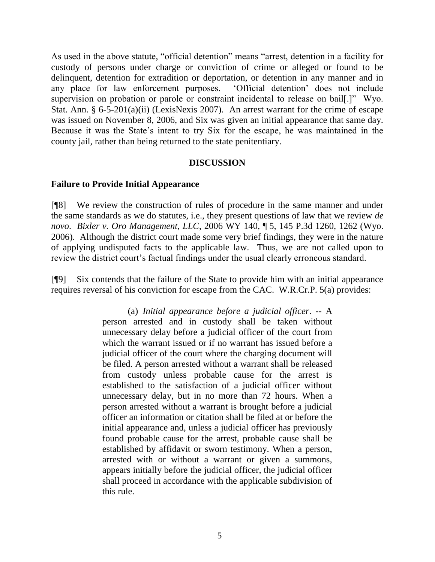As used in the above statute, "official detention" means "arrest, detention in a facility for custody of persons under charge or conviction of crime or alleged or found to be delinquent, detention for extradition or deportation, or detention in any manner and in any place for law enforcement purposes. "Official detention" does not include supervision on probation or parole or constraint incidental to release on bail[.]" Wyo. Stat. Ann. § 6-5-201(a)(ii) (LexisNexis 2007). An arrest warrant for the crime of escape was issued on November 8, 2006, and Six was given an initial appearance that same day. Because it was the State"s intent to try Six for the escape, he was maintained in the county jail, rather than being returned to the state penitentiary.

### **DISCUSSION**

## **Failure to Provide Initial Appearance**

[¶8] We review the construction of rules of procedure in the same manner and under the same standards as we do statutes, i.e., they present questions of law that we review *de novo*. *Bixler v. Oro Management, LLC*, 2006 WY 140, ¶ 5, 145 P.3d 1260, 1262 (Wyo. 2006). Although the district court made some very brief findings, they were in the nature of applying undisputed facts to the applicable law. Thus, we are not called upon to review the district court's factual findings under the usual clearly erroneous standard.

[¶9] Six contends that the failure of the State to provide him with an initial appearance requires reversal of his conviction for escape from the CAC. W.R.Cr.P. 5(a) provides:

> (a) *Initial appearance before a judicial officer*. -- A person arrested and in custody shall be taken without unnecessary delay before a judicial officer of the court from which the warrant issued or if no warrant has issued before a judicial officer of the court where the charging document will be filed. A person arrested without a warrant shall be released from custody unless probable cause for the arrest is established to the satisfaction of a judicial officer without unnecessary delay, but in no more than 72 hours. When a person arrested without a warrant is brought before a judicial officer an information or citation shall be filed at or before the initial appearance and, unless a judicial officer has previously found probable cause for the arrest, probable cause shall be established by affidavit or sworn testimony. When a person, arrested with or without a warrant or given a summons, appears initially before the judicial officer, the judicial officer shall proceed in accordance with the applicable subdivision of this rule.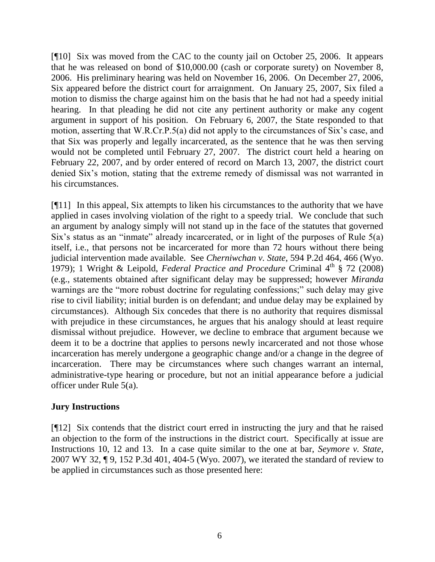[¶10] Six was moved from the CAC to the county jail on October 25, 2006. It appears that he was released on bond of \$10,000.00 (cash or corporate surety) on November 8, 2006. His preliminary hearing was held on November 16, 2006. On December 27, 2006, Six appeared before the district court for arraignment. On January 25, 2007, Six filed a motion to dismiss the charge against him on the basis that he had not had a speedy initial hearing. In that pleading he did not cite any pertinent authority or make any cogent argument in support of his position. On February 6, 2007, the State responded to that motion, asserting that W.R.Cr.P.5(a) did not apply to the circumstances of Six"s case, and that Six was properly and legally incarcerated, as the sentence that he was then serving would not be completed until February 27, 2007. The district court held a hearing on February 22, 2007, and by order entered of record on March 13, 2007, the district court denied Six"s motion, stating that the extreme remedy of dismissal was not warranted in his circumstances.

[¶11] In this appeal, Six attempts to liken his circumstances to the authority that we have applied in cases involving violation of the right to a speedy trial. We conclude that such an argument by analogy simply will not stand up in the face of the statutes that governed Six"s status as an "inmate" already incarcerated, or in light of the purposes of Rule 5(a) itself, i.e., that persons not be incarcerated for more than 72 hours without there being judicial intervention made available. See *Cherniwchan v. State*, 594 P.2d 464, 466 (Wyo. 1979); 1 Wright & Leipold, *Federal Practice and Procedure* Criminal 4<sup>th</sup> § 72 (2008) (e.g., statements obtained after significant delay may be suppressed; however *Miranda* warnings are the "more robust doctrine for regulating confessions;" such delay may give rise to civil liability; initial burden is on defendant; and undue delay may be explained by circumstances). Although Six concedes that there is no authority that requires dismissal with prejudice in these circumstances, he argues that his analogy should at least require dismissal without prejudice. However, we decline to embrace that argument because we deem it to be a doctrine that applies to persons newly incarcerated and not those whose incarceration has merely undergone a geographic change and/or a change in the degree of incarceration. There may be circumstances where such changes warrant an internal, administrative-type hearing or procedure, but not an initial appearance before a judicial officer under Rule 5(a).

# **Jury Instructions**

[¶12] Six contends that the district court erred in instructing the jury and that he raised an objection to the form of the instructions in the district court. Specifically at issue are Instructions 10, 12 and 13. In a case quite similar to the one at bar, *Seymore v. State*, 2007 WY 32, ¶ 9, 152 P.3d 401, 404-5 (Wyo. 2007), we iterated the standard of review to be applied in circumstances such as those presented here: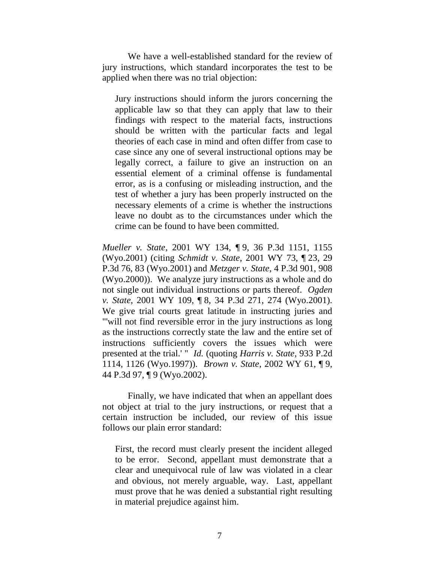We have a well-established standard for the review of jury instructions, which standard incorporates the test to be applied when there was no trial objection:

Jury instructions should inform the jurors concerning the applicable law so that they can apply that law to their findings with respect to the material facts, instructions should be written with the particular facts and legal theories of each case in mind and often differ from case to case since any one of several instructional options may be legally correct, a failure to give an instruction on an essential element of a criminal offense is fundamental error, as is a confusing or misleading instruction, and the test of whether a jury has been properly instructed on the necessary elements of a crime is whether the instructions leave no doubt as to the circumstances under which the crime can be found to have been committed.

*Mueller v. State*, 2001 WY 134, ¶ 9, 36 P.3d 1151, 1155 (Wyo.2001) (citing *Schmidt v. State*, 2001 WY 73, ¶ 23, 29 P.3d 76, 83 (Wyo.2001) and *Metzger v. State*, 4 P.3d 901, 908 (Wyo.2000)). We analyze jury instructions as a whole and do not single out individual instructions or parts thereof. *Ogden v. State*, 2001 WY 109, ¶ 8, 34 P.3d 271, 274 (Wyo.2001). We give trial courts great latitude in instructing juries and "'will not find reversible error in the jury instructions as long as the instructions correctly state the law and the entire set of instructions sufficiently covers the issues which were presented at the trial.' " *Id.* (quoting *Harris v. State*, 933 P.2d 1114, 1126 (Wyo.1997)). *Brown v. State*, 2002 WY 61, ¶ 9, 44 P.3d 97, ¶ 9 (Wyo.2002).

Finally, we have indicated that when an appellant does not object at trial to the jury instructions, or request that a certain instruction be included, our review of this issue follows our plain error standard:

First, the record must clearly present the incident alleged to be error. Second, appellant must demonstrate that a clear and unequivocal rule of law was violated in a clear and obvious, not merely arguable, way. Last, appellant must prove that he was denied a substantial right resulting in material prejudice against him.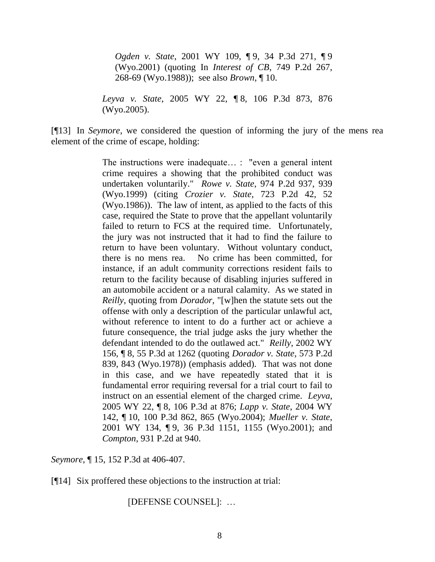*Ogden v. State*, 2001 WY 109, ¶ 9, 34 P.3d 271, ¶ 9 (Wyo.2001) (quoting In *Interest of CB*, 749 P.2d 267, 268-69 (Wyo.1988)); see also *Brown*, ¶ 10.

*Leyva v. State*, 2005 WY 22, ¶ 8, 106 P.3d 873, 876 (Wyo.2005).

[¶13] In *Seymore*, we considered the question of informing the jury of the mens rea element of the crime of escape, holding:

> The instructions were inadequate… : "even a general intent crime requires a showing that the prohibited conduct was undertaken voluntarily." *Rowe v. State*, 974 P.2d 937, 939 (Wyo.1999) (citing *Crozier v. State*, 723 P.2d 42, 52 (Wyo.1986)). The law of intent, as applied to the facts of this case, required the State to prove that the appellant voluntarily failed to return to FCS at the required time. Unfortunately, the jury was not instructed that it had to find the failure to return to have been voluntary. Without voluntary conduct, there is no mens rea. No crime has been committed, for instance, if an adult community corrections resident fails to return to the facility because of disabling injuries suffered in an automobile accident or a natural calamity. As we stated in *Reilly*, quoting from *Dorador*, "[w]hen the statute sets out the offense with only a description of the particular unlawful act, without reference to intent to do a further act or achieve a future consequence, the trial judge asks the jury whether the defendant intended to do the outlawed act." *Reilly*, 2002 WY 156, ¶ 8, 55 P.3d at 1262 (quoting *Dorador v. State*, 573 P.2d 839, 843 (Wyo.1978)) (emphasis added). That was not done in this case, and we have repeatedly stated that it is fundamental error requiring reversal for a trial court to fail to instruct on an essential element of the charged crime. *Leyva*, 2005 WY 22, ¶ 8, 106 P.3d at 876; *Lapp v. State*, 2004 WY 142, ¶ 10, 100 P.3d 862, 865 (Wyo.2004); *Mueller v. State*, 2001 WY 134, ¶ 9, 36 P.3d 1151, 1155 (Wyo.2001); and *Compton*, 931 P.2d at 940.

*Seymore*, ¶ 15, 152 P.3d at 406-407.

[¶14] Six proffered these objections to the instruction at trial:

[DEFENSE COUNSEL]: …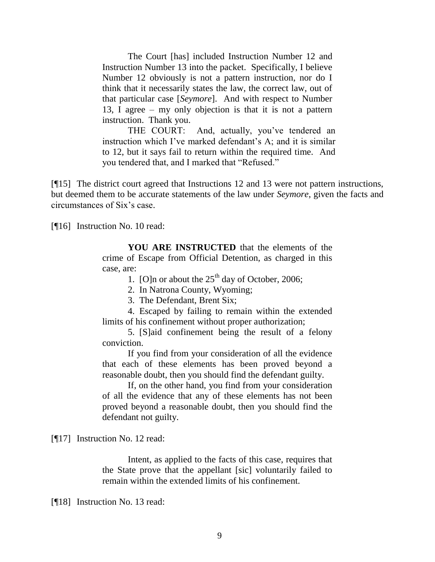The Court [has] included Instruction Number 12 and Instruction Number 13 into the packet. Specifically, I believe Number 12 obviously is not a pattern instruction, nor do I think that it necessarily states the law, the correct law, out of that particular case [*Seymore*]. And with respect to Number 13, I agree – my only objection is that it is not a pattern instruction. Thank you.

THE COURT: And, actually, you've tendered an instruction which I've marked defendant's A; and it is similar to 12, but it says fail to return within the required time. And you tendered that, and I marked that "Refused."

[¶15] The district court agreed that Instructions 12 and 13 were not pattern instructions, but deemed them to be accurate statements of the law under *Seymore*, given the facts and circumstances of Six"s case.

[¶16] Instruction No. 10 read:

**YOU ARE INSTRUCTED** that the elements of the crime of Escape from Official Detention, as charged in this case, are:

1. [O]n or about the  $25<sup>th</sup>$  day of October, 2006;

2. In Natrona County, Wyoming;

3. The Defendant, Brent Six;

4. Escaped by failing to remain within the extended limits of his confinement without proper authorization;

5. [S]aid confinement being the result of a felony conviction.

If you find from your consideration of all the evidence that each of these elements has been proved beyond a reasonable doubt, then you should find the defendant guilty.

If, on the other hand, you find from your consideration of all the evidence that any of these elements has not been proved beyond a reasonable doubt, then you should find the defendant not guilty.

[¶17] Instruction No. 12 read:

Intent, as applied to the facts of this case, requires that the State prove that the appellant [sic] voluntarily failed to remain within the extended limits of his confinement.

[¶18] Instruction No. 13 read: